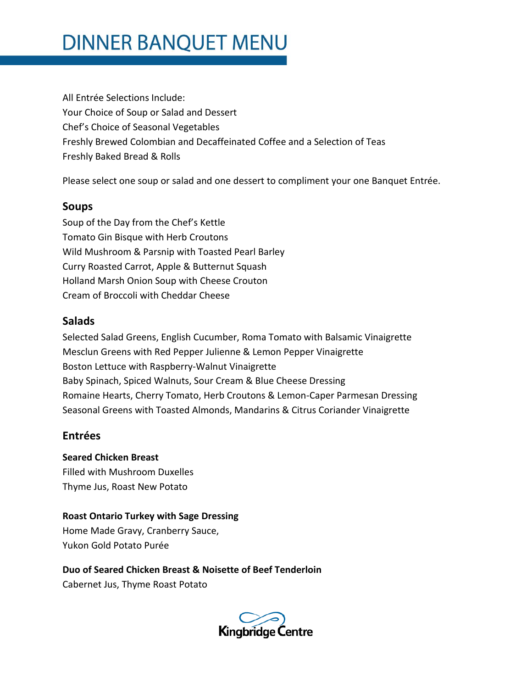# **DINNER BANQUET MENU**

All Entrée Selections Include: Your Choice of Soup or Salad and Dessert Chef's Choice of Seasonal Vegetables Freshly Brewed Colombian and Decaffeinated Coffee and a Selection of Teas Freshly Baked Bread & Rolls

Please select one soup or salad and one dessert to compliment your one Banquet Entrée.

#### **Soups**

Soup of the Day from the Chef's Kettle Tomato Gin Bisque with Herb Croutons Wild Mushroom & Parsnip with Toasted Pearl Barley Curry Roasted Carrot, Apple & Butternut Squash Holland Marsh Onion Soup with Cheese Crouton Cream of Broccoli with Cheddar Cheese

### **Salads**

Selected Salad Greens, English Cucumber, Roma Tomato with Balsamic Vinaigrette Mesclun Greens with Red Pepper Julienne & Lemon Pepper Vinaigrette Boston Lettuce with Raspberry-Walnut Vinaigrette Baby Spinach, Spiced Walnuts, Sour Cream & Blue Cheese Dressing Romaine Hearts, Cherry Tomato, Herb Croutons & Lemon-Caper Parmesan Dressing Seasonal Greens with Toasted Almonds, Mandarins & Citrus Coriander Vinaigrette

### **Entrées**

**Seared Chicken Breast** Filled with Mushroom Duxelles Thyme Jus, Roast New Potato

**Roast Ontario Turkey with Sage Dressing** Home Made Gravy, Cranberry Sauce, Yukon Gold Potato Purée

**Duo of Seared Chicken Breast & Noisette of Beef Tenderloin** 

Cabernet Jus, Thyme Roast Potato

**Kingbridge Centre**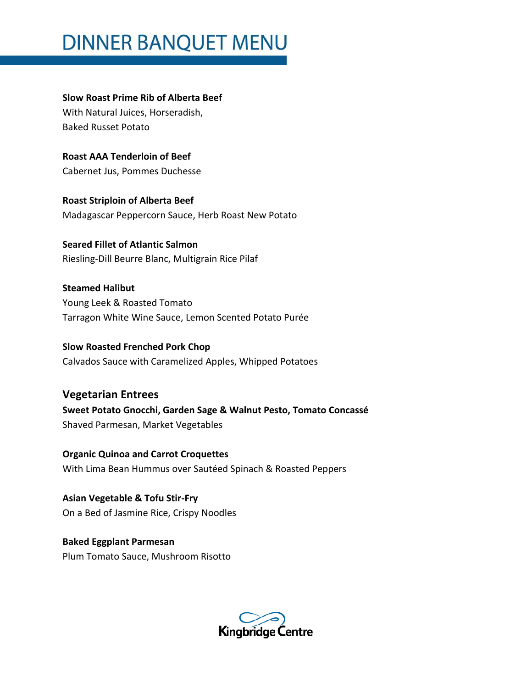## **DINNER BANQUET MENU**

**Slow Roast Prime Rib of Alberta Beef**  With Natural Juices, Horseradish, Baked Russet Potato

**Roast AAA Tenderloin of Beef** Cabernet Jus, Pommes Duchesse

**Roast Striploin of Alberta Beef** Madagascar Peppercorn Sauce, Herb Roast New Potato

**Seared Fillet of Atlantic Salmon** Riesling-Dill Beurre Blanc, Multigrain Rice Pilaf

**Steamed Halibut**  Young Leek & Roasted Tomato Tarragon White Wine Sauce, Lemon Scented Potato Purée

**Slow Roasted Frenched Pork Chop** Calvados Sauce with Caramelized Apples, Whipped Potatoes

**Vegetarian Entrees Sweet Potato Gnocchi, Garden Sage & Walnut Pesto, Tomato Concassé** Shaved Parmesan, Market Vegetables

**Organic Quinoa and Carrot Croquettes** With Lima Bean Hummus over Sautéed Spinach & Roasted Peppers

**Asian Vegetable & Tofu Stir-Fry** On a Bed of Jasmine Rice, Crispy Noodles

**Baked Eggplant Parmesan**  Plum Tomato Sauce, Mushroom Risotto

Kingbridge Centre